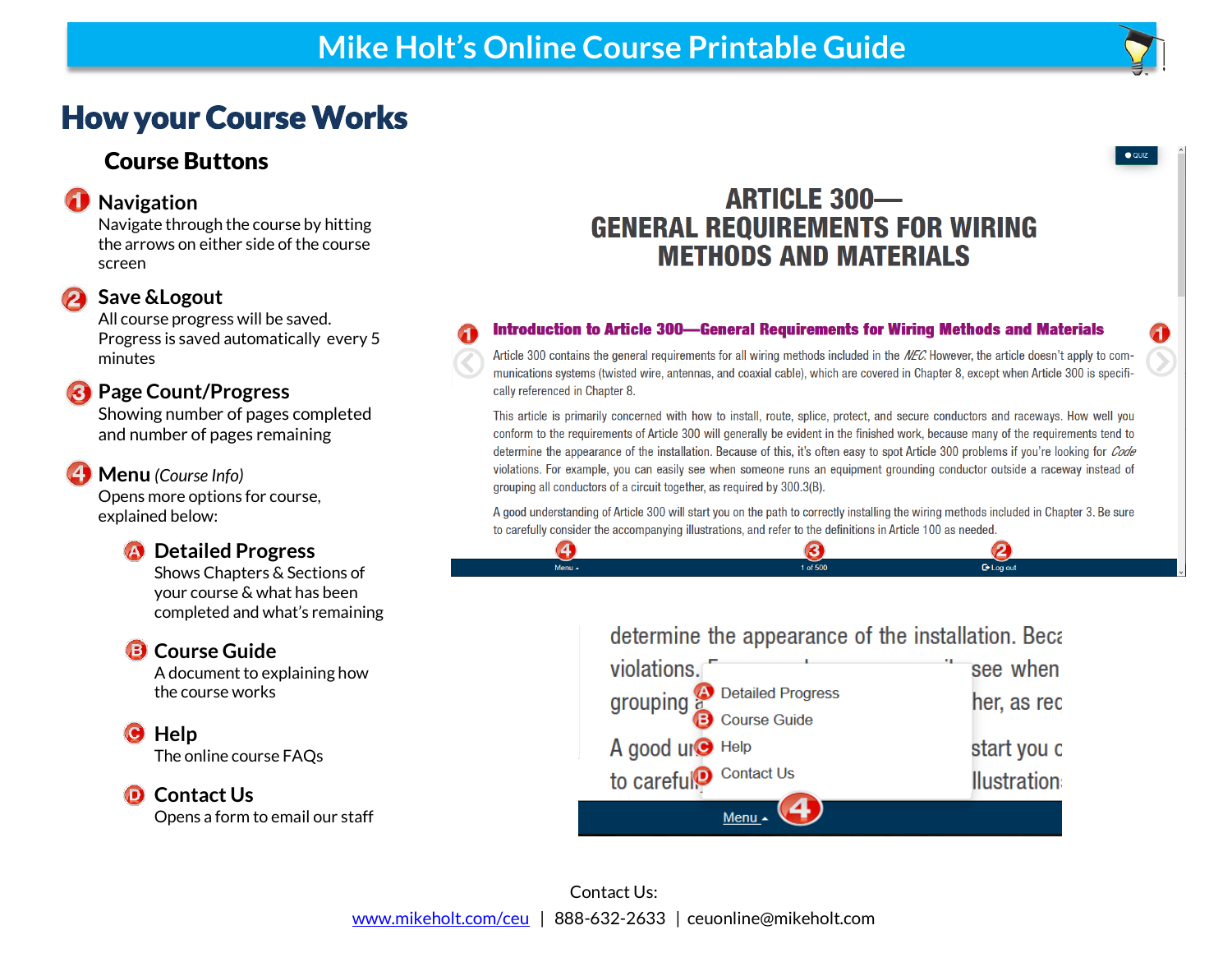# How your Course Works

## Course Buttons

### **Navigation**

Navigate through the course by hitting the arrows on either side of the course screen

#### **Save &Logout**

All course progress will be saved. Progress is saved automatically every 5 minutes

### **Page Count/Progress**

Showing number of pages completed and number of pages remaining

### **Menu** *(Course Info)*

Opens more options for course, explained below:

## **4** Detailed Progress

Shows Chapters & Sections of your course & what has been completed and what's remaining

## **B** Course Guide

A document to explaining how the course works

o **Help**

The online course FAQs

### **O** Contact Us

Opens a form to email our staff

## **ARTICLE 300-GENERAL REQUIREMENTS FOR WIRING METHODS AND MATERIALS**

#### **Introduction to Article 300—General Requirements for Wiring Methods and Materials**

Article 300 contains the general requirements for all wiring methods included in the NEC. However, the article doesn't apply to communications systems (twisted wire, antennas, and coaxial cable), which are covered in Chapter 8, except when Article 300 is specifically referenced in Chapter 8.

This article is primarily concerned with how to install, route, splice, protect, and secure conductors and raceways. How well you conform to the requirements of Article 300 will generally be evident in the finished work, because many of the requirements tend to determine the appearance of the installation. Because of this, it's often easy to spot Article 300 problems if you're looking for *Code* violations. For example, you can easily see when someone runs an equipment grounding conductor outside a raceway instead of grouping all conductors of a circuit together, as required by 300.3(B).

A good understanding of Article 300 will start you on the path to correctly installing the wiring methods included in Chapter 3. Be sure to carefully consider the accompanying illustrations, and refer to the definitions in Article 100 as needed. 3

1 of 500

## determine the appearance of the installation. Beca

**□** Log out



 $\left( \frac{1}{2} \right)$ 

 $Menu \sim$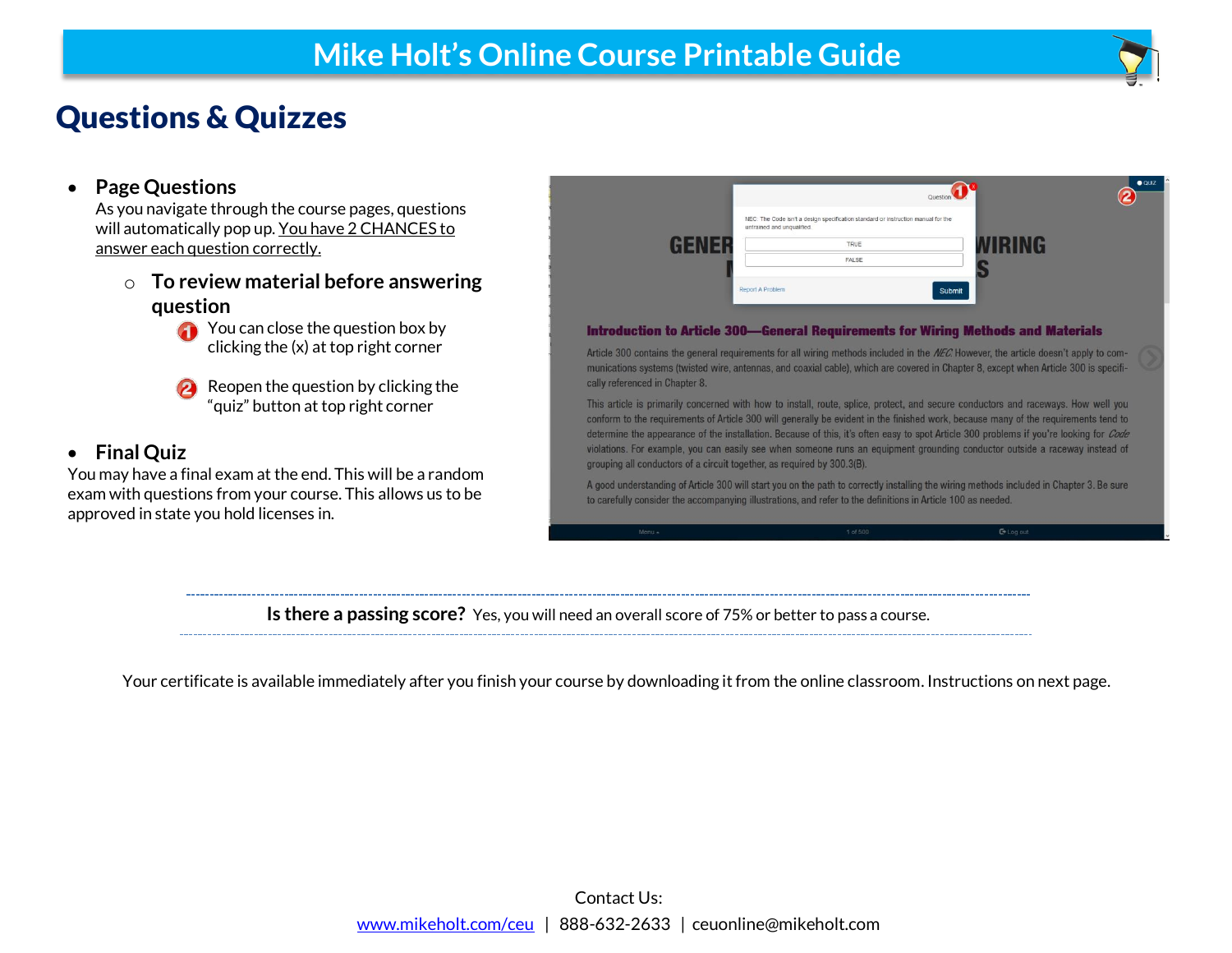# Questions & Quizzes

#### **Page Questions**

As you navigate through the course pages, questions will automatically pop up. You have 2 CHANCES to answer each question correctly.

- o **To review material before answering question**
	- **T** You can close the question box by clicking the (x) at top right corner
	- Reopen the question by clicking the "quiz" button at top right corner

#### **Final Quiz**

You may have a final exam at the end. This will be a random exam with questions from your course. This allows us to be approved in state you hold licenses in.



This article is primarily concerned with how to install, route, splice, protect, and secure conductors and raceways. How well you conform to the requirements of Article 300 will generally be evident in the finished work, because many of the requirements tend to determine the appearance of the installation. Because of this, it's often easy to spot Article 300 problems if you're looking for Code violations. For example, you can easily see when someone runs an equipment grounding conductor outside a raceway instead of grouping all conductors of a circuit together, as required by 300.3(B).

A good understanding of Article 300 will start you on the path to correctly installing the wiring methods included in Chapter 3. Be sure to carefully consider the accompanying illustrations, and refer to the definitions in Article 100 as needed.

**Is there a passing score?** Yes, you will need an overall score of 75% or better to pass a course.

Your certificate is available immediately after you finish your course by downloading it from the online classroom. Instructions on next page.